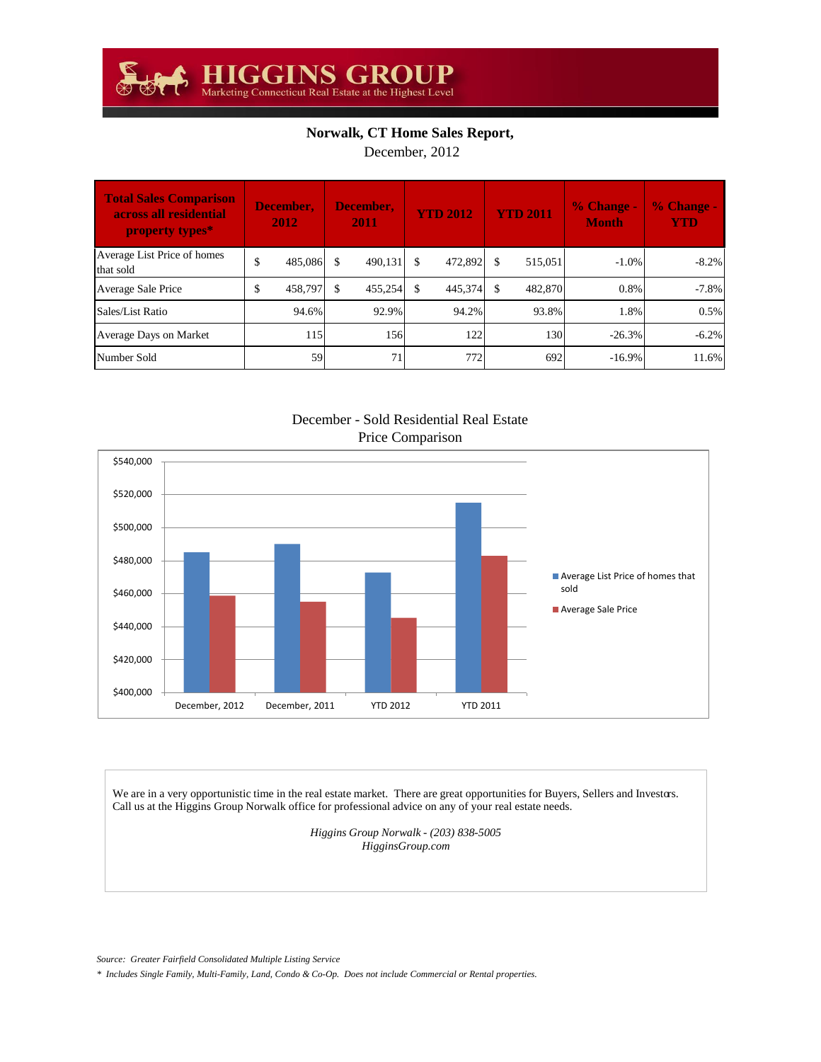## **Norwalk, CT Home Sales Report,**

December, 2012

| <b>Total Sales Comparison</b><br>across all residential<br>property types* | December,<br>2012 |    | December,<br>2011 | <b>YTD 2012</b> |     | <b>YTD 2011</b> | $\frac{9}{6}$ Change -<br><b>Month</b> | % Change -<br><b>YTD</b> |
|----------------------------------------------------------------------------|-------------------|----|-------------------|-----------------|-----|-----------------|----------------------------------------|--------------------------|
| Average List Price of homes<br>that sold                                   | \$<br>485,086     |    | 490.131           | \$<br>472,892   | £.  | 515.051         | $-1.0\%$                               | $-8.2%$                  |
| Average Sale Price                                                         | \$<br>458.797     | £. | 455.254           | \$<br>445,374   | -\$ | 482,870         | 0.8%                                   | $-7.8%$                  |
| Sales/List Ratio                                                           | 94.6%             |    | 92.9%             | 94.2%           |     | 93.8%           | 1.8%                                   | 0.5%                     |
| Average Days on Market                                                     | 115               |    | 156               | 122             |     | 130             | $-26.3\%$                              | $-6.2%$                  |
| Number Sold                                                                | 59                |    | 71                | 772             |     | 692             | $-16.9\%$                              | 11.6%                    |

December - Sold Residential Real Estate Price Comparison



We are in a very opportunistic time in the real estate market. There are great opportunities for Buyers, Sellers and Investors. Call us at the Higgins Group Norwalk office for professional advice on any of your real estate needs.

> *Higgins Group Norwalk - (203) 838-5005 HigginsGroup.com*

*Source: Greater Fairfield Consolidated Multiple Listing Service*

*\* Includes Single Family, Multi-Family, Land, Condo & Co-Op. Does not include Commercial or Rental properties.*